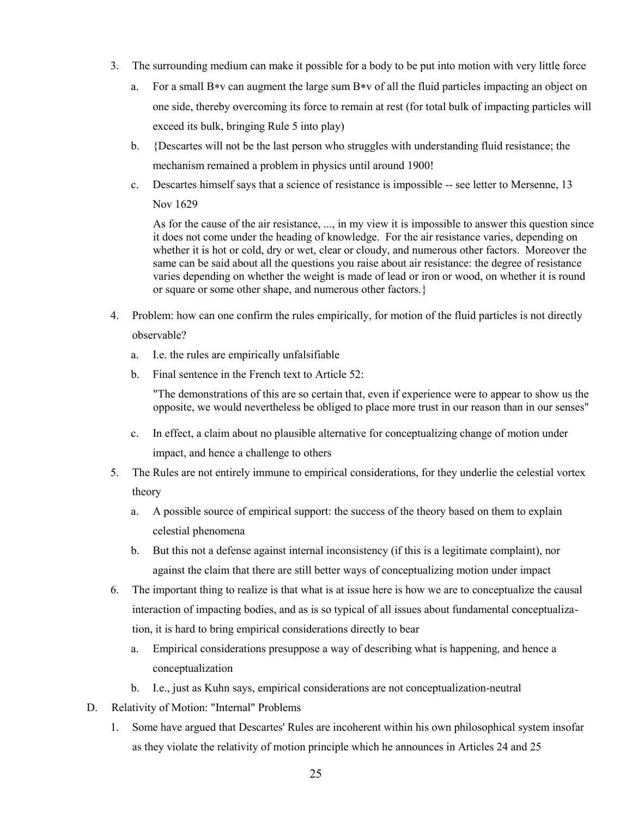- 3. The surrounding medium can make it possible for a body to be put into motion with very little force
	- a. For a small B<sup>\*</sup>v can augment the large sum B<sup>\*</sup>v of all the fluid particles impacting an object on one side, thereby overcoming its force to remain at rest (for total bulk of impacting particles will exceed its bulk, bringing Rule 5 into play)
	- b. {Descartes will not be the last person who struggles with understanding fluid resistance; the mechanism remained a problem in physics until around 1900!
	- c. Descartes himself says that a science of resistance is impossible -- see letter to Mersenne, 13 Nov 1629

As for the cause of the air resistance, ..., in my view it is impossible to answer this question since it does not come under the heading of knowledge. For the air resistance varies, depending on whether it is hot or cold, dry or wet, clear or cloudy, and numerous other factors. Moreover the same can be said about all the questions you raise about air resistance: the degree of resistance varies depending on whether the weight is made of lead or iron or wood, on whether it is round or square or some other shape, and numerous other factors.}

- 4. Problem: how can one confirm the rules empirically, for motion of the fluid particles is not directly observable?
	- a. I.e. the rules are empirically unfalsifiable
	- b. Final sentence in the French text to Article 52:

"The demonstrations of this are so certain that, even if experience were to appear to show us the opposite, we would nevertheless be obliged to place more trust in our reason than in our senses"

- c. In effect, a claim about no plausible alternative for conceptualizing change of motion under impact, and hence a challenge to others
- 5. The Rules are not entirely immune to empirical considerations, for they underlie the celestial vortex theory
	- a. A possible source of empirical support: the success of the theory based on them to explain celestial phenomena
	- b. But this not a defense against internal inconsistency (if this is a legitimate complaint), nor against the claim that there are still better ways of conceptualizing motion under impact
- 6. The important thing to realize is that what is at issue here is how we are to conceptualize the causal interaction of impacting bodies, and as is so typical of all issues about fundamental conceptualization, it is hard to bring empirical considerations directly to bear
	- a. Empirical considerations presuppose a way of describing what is happening, and hence a conceptualization
	- b. I.e., just as Kuhn says, empirical considerations are not conceptualization-neutral
- D. Relativity of Motion: "Internal" Problems
	- 1. Some have argued that Descartes' Rules are incoherent within his own philosophical system insofar as they violate the relativity of motion principle which he announces in Articles 24 and 25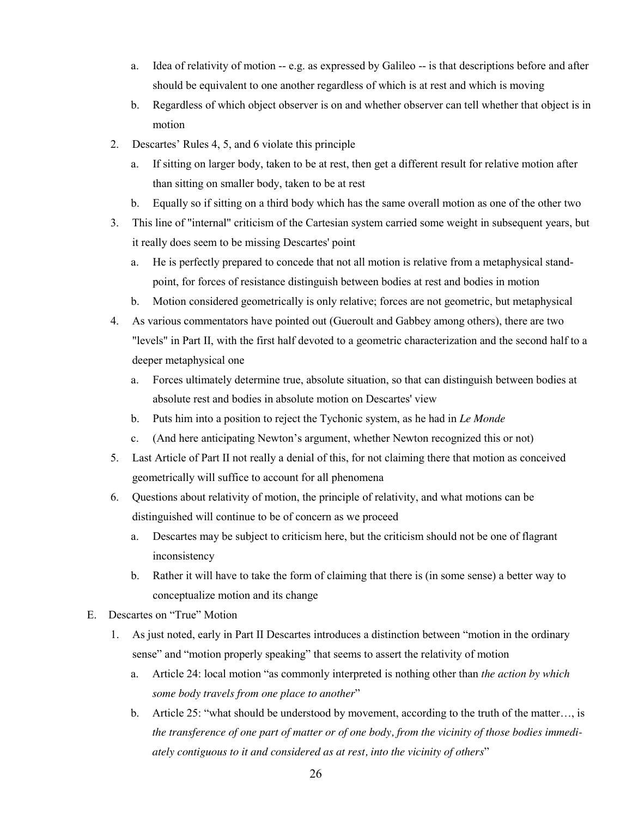- a. Idea of relativity of motion -- e.g. as expressed by Galileo -- is that descriptions before and after should be equivalent to one another regardless of which is at rest and which is moving
- b. Regardless of which object observer is on and whether observer can tell whether that object is in motion
- 2. Descartes' Rules 4, 5, and 6 violate this principle
	- a. If sitting on larger body, taken to be at rest, then get a different result for relative motion after than sitting on smaller body, taken to be at rest
	- b. Equally so if sitting on a third body which has the same overall motion as one of the other two
- 3. This line of "internal" criticism of the Cartesian system carried some weight in subsequent years, but it really does seem to be missing Descartes' point
	- a. He is perfectly prepared to concede that not all motion is relative from a metaphysical standpoint, for forces of resistance distinguish between bodies at rest and bodies in motion
	- b. Motion considered geometrically is only relative; forces are not geometric, but metaphysical
- 4. As various commentators have pointed out (Gueroult and Gabbey among others), there are two "levels" in Part II, with the first half devoted to a geometric characterization and the second half to a deeper metaphysical one
	- a. Forces ultimately determine true, absolute situation, so that can distinguish between bodies at absolute rest and bodies in absolute motion on Descartes' view
	- b. Puts him into a position to reject the Tychonic system, as he had in *Le Monde*
	- c. (And here anticipating Newton's argument, whether Newton recognized this or not)
- 5. Last Article of Part II not really a denial of this, for not claiming there that motion as conceived geometrically will suffice to account for all phenomena
- 6. Questions about relativity of motion, the principle of relativity, and what motions can be distinguished will continue to be of concern as we proceed
	- a. Descartes may be subject to criticism here, but the criticism should not be one of flagrant inconsistency
	- b. Rather it will have to take the form of claiming that there is (in some sense) a better way to conceptualize motion and its change
- E. Descartes on "True" Motion
	- 1. As just noted, early in Part II Descartes introduces a distinction between "motion in the ordinary sense" and "motion properly speaking" that seems to assert the relativity of motion
		- a. Article 24: local motion "as commonly interpreted is nothing other than *the action by which some body travels from one place to another*"
		- b. Article 25: "what should be understood by movement, according to the truth of the matter…, is *the transference of one part of matter or of one body, from the vicinity of those bodies immediately contiguous to it and considered as at rest, into the vicinity of others*"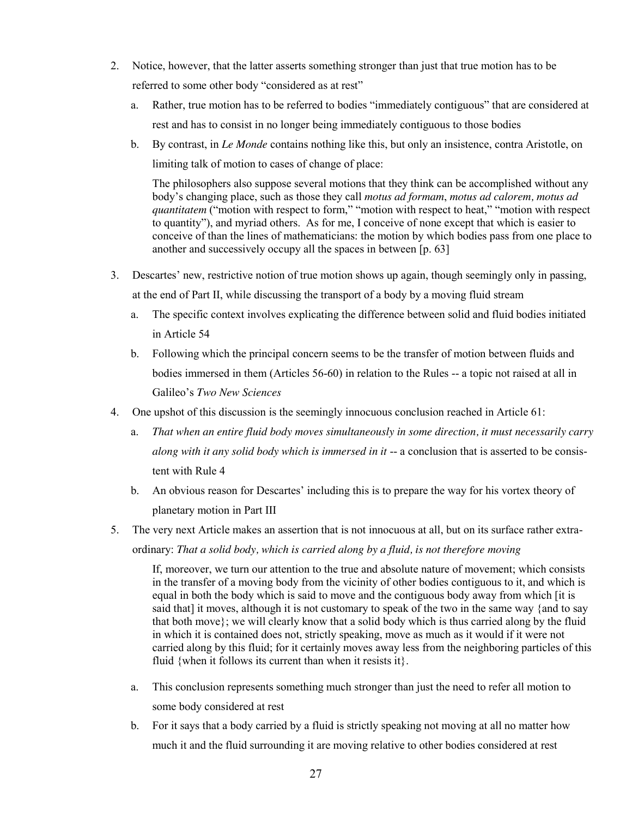- 2. Notice, however, that the latter asserts something stronger than just that true motion has to be referred to some other body "considered as at rest"
	- a. Rather, true motion has to be referred to bodies "immediately contiguous" that are considered at rest and has to consist in no longer being immediately contiguous to those bodies
	- b. By contrast, in *Le Monde* contains nothing like this, but only an insistence, contra Aristotle, on limiting talk of motion to cases of change of place:

The philosophers also suppose several motions that they think can be accomplished without any body's changing place, such as those they call *motus ad formam*, *motus ad calorem, motus ad quantitatem* ("motion with respect to form," "motion with respect to heat," "motion with respect to quantity"), and myriad others. As for me, I conceive of none except that which is easier to conceive of than the lines of mathematicians: the motion by which bodies pass from one place to another and successively occupy all the spaces in between [p. 63]

- 3. Descartes' new, restrictive notion of true motion shows up again, though seemingly only in passing, at the end of Part II, while discussing the transport of a body by a moving fluid stream
	- a. The specific context involves explicating the difference between solid and fluid bodies initiated in Article 54
	- b. Following which the principal concern seems to be the transfer of motion between fluids and bodies immersed in them (Articles 56-60) in relation to the Rules -- a topic not raised at all in Galileo's *Two New Sciences*
- 4. One upshot of this discussion is the seemingly innocuous conclusion reached in Article 61:
	- a. *That when an entire fluid body moves simultaneously in some direction, it must necessarily carry along with it any solid body which is immersed in it* -- a conclusion that is asserted to be consistent with Rule 4
	- b. An obvious reason for Descartes' including this is to prepare the way for his vortex theory of planetary motion in Part III
- 5. The very next Article makes an assertion that is not innocuous at all, but on its surface rather extraordinary: *That a solid body, which is carried along by a fluid, is not therefore moving*

If, moreover, we turn our attention to the true and absolute nature of movement; which consists in the transfer of a moving body from the vicinity of other bodies contiguous to it, and which is equal in both the body which is said to move and the contiguous body away from which [it is said that] it moves, although it is not customary to speak of the two in the same way {and to say that both move}; we will clearly know that a solid body which is thus carried along by the fluid in which it is contained does not, strictly speaking, move as much as it would if it were not carried along by this fluid; for it certainly moves away less from the neighboring particles of this fluid {when it follows its current than when it resists it}.

- a. This conclusion represents something much stronger than just the need to refer all motion to some body considered at rest
- b. For it says that a body carried by a fluid is strictly speaking not moving at all no matter how much it and the fluid surrounding it are moving relative to other bodies considered at rest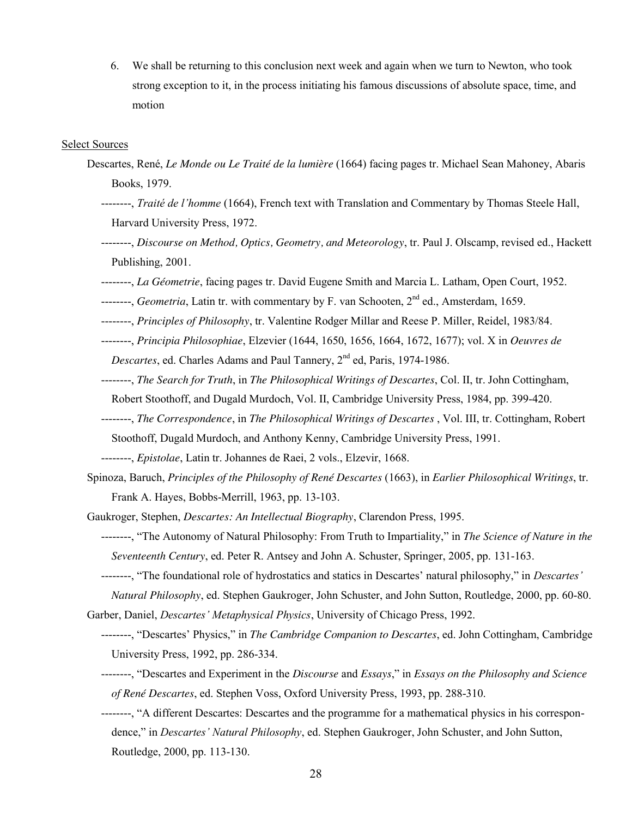6. We shall be returning to this conclusion next week and again when we turn to Newton, who took strong exception to it, in the process initiating his famous discussions of absolute space, time, and motion

## Select Sources

- Descartes, René, *Le Monde ou Le Traité de la lumière* (1664) facing pages tr. Michael Sean Mahoney, Abaris Books, 1979.
	- --------, *Traité de l'homme* (1664), French text with Translation and Commentary by Thomas Steele Hall, Harvard University Press, 1972.
	- --------, *Discourse on Method, Optics, Geometry, and Meteorology*, tr. Paul J. Olscamp, revised ed., Hackett Publishing, 2001.
	- --------, *La Géometrie*, facing pages tr. David Eugene Smith and Marcia L. Latham, Open Court, 1952.
	- --------, *Geometria*, Latin tr. with commentary by F. van Schooten, 2<sup>nd</sup> ed., Amsterdam, 1659.
	- --------, *Principles of Philosophy*, tr. Valentine Rodger Millar and Reese P. Miller, Reidel, 1983/84.
	- --------, *Principia Philosophiae*, Elzevier (1644, 1650, 1656, 1664, 1672, 1677); vol. X in *Oeuvres de Descartes*, ed. Charles Adams and Paul Tannery, 2<sup>nd</sup> ed, Paris, 1974-1986.
	- --------, *The Search for Truth*, in *The Philosophical Writings of Descartes*, Col. II, tr. John Cottingham, Robert Stoothoff, and Dugald Murdoch, Vol. II, Cambridge University Press, 1984, pp. 399-420.
	- --------, *The Correspondence*, in *The Philosophical Writings of Descartes* , Vol. III, tr. Cottingham, Robert Stoothoff, Dugald Murdoch, and Anthony Kenny, Cambridge University Press, 1991.
	- --------, *Epistolae*, Latin tr. Johannes de Raei, 2 vols., Elzevir, 1668.
- Spinoza, Baruch, *Principles of the Philosophy of René Descartes* (1663), in *Earlier Philosophical Writings*, tr. Frank A. Hayes, Bobbs-Merrill, 1963, pp. 13-103.
- Gaukroger, Stephen, *Descartes: An Intellectual Biography*, Clarendon Press, 1995.
	- --------, "The Autonomy of Natural Philosophy: From Truth to Impartiality," in *The Science of Nature in the Seventeenth Century*, ed. Peter R. Antsey and John A. Schuster, Springer, 2005, pp. 131-163.
	- --------, "The foundational role of hydrostatics and statics in Descartes' natural philosophy," in *Descartes'*
- *Natural Philosophy*, ed. Stephen Gaukroger, John Schuster, and John Sutton, Routledge, 2000, pp. 60-80. Garber, Daniel, *Descartes' Metaphysical Physics*, University of Chicago Press, 1992.
	- --------, "Descartes' Physics," in *The Cambridge Companion to Descartes*, ed. John Cottingham, Cambridge University Press, 1992, pp. 286-334.
	- --------, "Descartes and Experiment in the *Discourse* and *Essays*," in *Essays on the Philosophy and Science of René Descartes*, ed. Stephen Voss, Oxford University Press, 1993, pp. 288-310.
	- --------, "A different Descartes: Descartes and the programme for a mathematical physics in his correspondence," in *Descartes' Natural Philosophy*, ed. Stephen Gaukroger, John Schuster, and John Sutton, Routledge, 2000, pp. 113-130.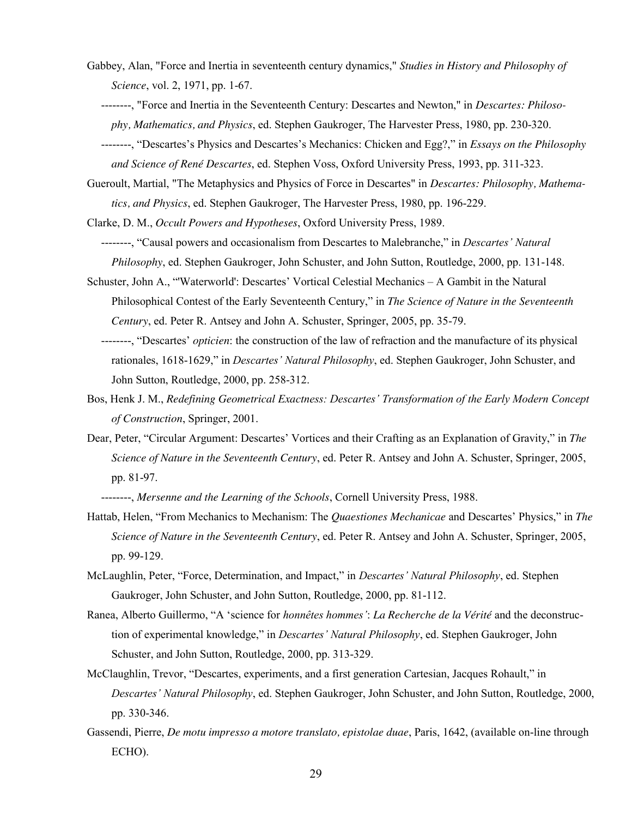- Gabbey, Alan, "Force and Inertia in seventeenth century dynamics," *Studies in History and Philosophy of Science*, vol. 2, 1971, pp. 1-67.
	- --------, "Force and Inertia in the Seventeenth Century: Descartes and Newton," in *Descartes: Philosophy, Mathematics, and Physics*, ed. Stephen Gaukroger, The Harvester Press, 1980, pp. 230-320.
	- --------, "Descartes's Physics and Descartes's Mechanics: Chicken and Egg?," in *Essays on the Philosophy and Science of René Descartes*, ed. Stephen Voss, Oxford University Press, 1993, pp. 311-323.
- Gueroult, Martial, "The Metaphysics and Physics of Force in Descartes" in *Descartes: Philosophy, Mathematics, and Physics*, ed. Stephen Gaukroger, The Harvester Press, 1980, pp. 196-229.
- Clarke, D. M., *Occult Powers and Hypotheses*, Oxford University Press, 1989.

 --------, "Causal powers and occasionalism from Descartes to Malebranche," in *Descartes' Natural Philosophy*, ed. Stephen Gaukroger, John Schuster, and John Sutton, Routledge, 2000, pp. 131-148.

- Schuster, John A., "'Waterworld': Descartes' Vortical Celestial Mechanics A Gambit in the Natural Philosophical Contest of the Early Seventeenth Century," in *The Science of Nature in the Seventeenth Century*, ed. Peter R. Antsey and John A. Schuster, Springer, 2005, pp. 35-79.
	- --------, "Descartes' *opticien*: the construction of the law of refraction and the manufacture of its physical rationales, 1618-1629," in *Descartes' Natural Philosophy*, ed. Stephen Gaukroger, John Schuster, and John Sutton, Routledge, 2000, pp. 258-312.
- Bos, Henk J. M., *Redefining Geometrical Exactness: Descartes' Transformation of the Early Modern Concept of Construction*, Springer, 2001.
- Dear, Peter, "Circular Argument: Descartes' Vortices and their Crafting as an Explanation of Gravity," in *The Science of Nature in the Seventeenth Century*, ed. Peter R. Antsey and John A. Schuster, Springer, 2005, pp. 81-97.

--------, *Mersenne and the Learning of the Schools*, Cornell University Press, 1988.

- Hattab, Helen, "From Mechanics to Mechanism: The *Quaestiones Mechanicae* and Descartes' Physics," in *The Science of Nature in the Seventeenth Century*, ed. Peter R. Antsey and John A. Schuster, Springer, 2005, pp. 99-129.
- McLaughlin, Peter, "Force, Determination, and Impact," in *Descartes' Natural Philosophy*, ed. Stephen Gaukroger, John Schuster, and John Sutton, Routledge, 2000, pp. 81-112.
- Ranea, Alberto Guillermo, "A 'science for *honnêtes hommes'*: *La Recherche de la Vérité* and the deconstruction of experimental knowledge," in *Descartes' Natural Philosophy*, ed. Stephen Gaukroger, John Schuster, and John Sutton, Routledge, 2000, pp. 313-329.
- McClaughlin, Trevor, "Descartes, experiments, and a first generation Cartesian, Jacques Rohault," in *Descartes' Natural Philosophy*, ed. Stephen Gaukroger, John Schuster, and John Sutton, Routledge, 2000, pp. 330-346.
- Gassendi, Pierre, *De motu impresso a motore translato, epistolae duae*, Paris, 1642, (available on-line through ECHO).